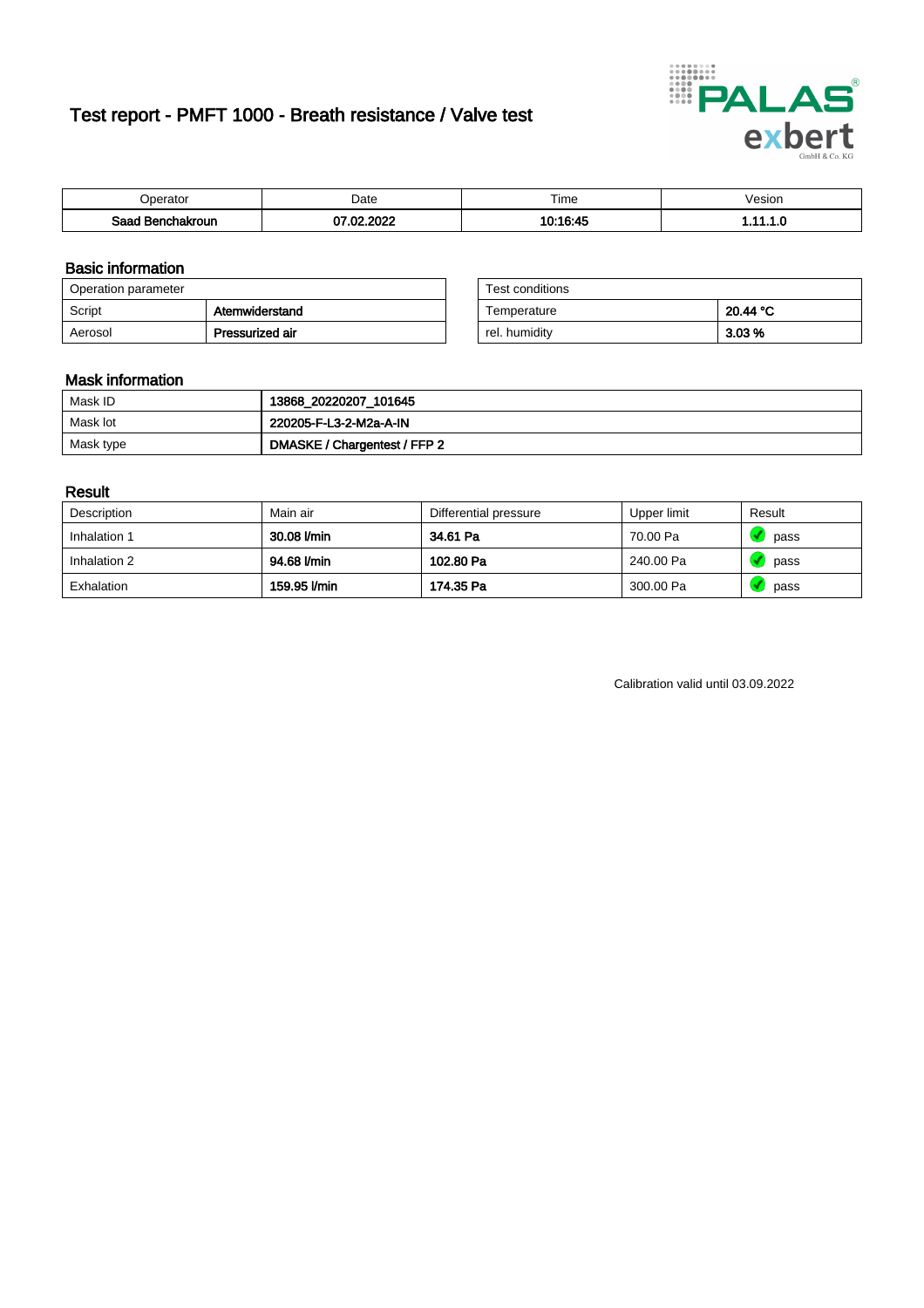# Test report - PMFT 1000 - Breath resistance / Valve test



| Jperator                | Date         | Time<br>. | Vesion |
|-------------------------|--------------|-----------|--------|
| Saad<br>าchakroun<br>יי | .2022<br>. ഹ | 10:16:45  | .      |

### Basic information

| Operation parameter |                 | Test conditions |          |
|---------------------|-----------------|-----------------|----------|
| Script              | Atemwiderstand  | Temperature     | 20.44 °C |
| Aerosol             | Pressurized air | rel. humiditv   | 3.03 %   |

| Test conditions |          |
|-----------------|----------|
| Temperature     | 20.44 °C |
| rel. humidity   | 3.03%    |

### Mask information

| Mask ID   | 13868_20220207_101645        |
|-----------|------------------------------|
| Mask lot  | 220205-F-L3-2-M2a-A-IN       |
| Mask type | DMASKE / Chargentest / FFP 2 |

### Result

| Description  | Main air     | Differential pressure | Upper limit | Result |
|--------------|--------------|-----------------------|-------------|--------|
| Inhalation 1 | 30.08 l/min  | 34.61 Pa              | 70.00 Pa    | pass   |
| Inhalation 2 | 94.68 l/min  | 102.80 Pa             | 240.00 Pa   | pass   |
| Exhalation   | 159.95 l/min | 174.35 Pa             | 300.00 Pa   | pass   |

Calibration valid until 03.09.2022